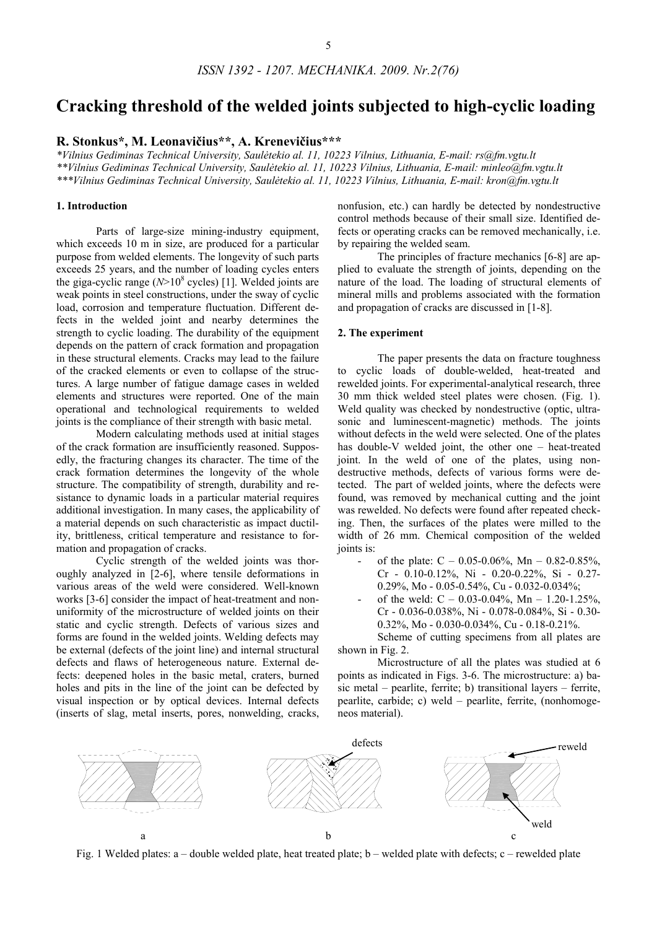# **Cracking threshold of the welded joints subjected to high-cyclic loading**

**R. Stonkus\*, M. Leonavičius\*\*, A. Krenevičius\*\*\*** 

*\*Vilnius Gediminas Technical University, Saulėtekio al. 11, 10223 Vilnius, Lithuania, E-mail: rs@fm.vgtu.lt \*\*Vilnius Gediminas Technical University, Saulėtekio al. 11, 10223 Vilnius, Lithuania, E-mail: minleo@fm.vgtu.lt \*\*\*Vilnius Gediminas Technical University, Saulėtekio al. 11, 10223 Vilnius, Lithuania, E-mail: kron@fm.vgtu.lt*

## **1. Introduction**

Parts of large-size mining-industry equipment, which exceeds 10 m in size, are produced for a particular purpose from welded elements. The longevity of such parts exceeds 25 years, and the number of loading cycles enters the giga-cyclic range  $(N>10^8 \text{ cycles})$  [1]. Welded joints are weak points in steel constructions, under the sway of cyclic load, corrosion and temperature fluctuation. Different defects in the welded joint and nearby determines the strength to cyclic loading. The durability of the equipment depends on the pattern of crack formation and propagation in these structural elements. Cracks may lead to the failure of the cracked elements or even to collapse of the structures. A large number of fatigue damage cases in welded elements and structures were reported. One of the main operational and technological requirements to welded joints is the compliance of their strength with basic metal.

Modern calculating methods used at initial stages of the crack formation are insufficiently reasoned. Supposedly, the fracturing changes its character. The time of the crack formation determines the longevity of the whole structure. The compatibility of strength, durability and resistance to dynamic loads in a particular material requires additional investigation. In many cases, the applicability of a material depends on such characteristic as impact ductility, brittleness, critical temperature and resistance to formation and propagation of cracks.

Cyclic strength of the welded joints was thoroughly analyzed in [2-6], where tensile deformations in various areas of the weld were considered. Well-known works [3-6] consider the impact of heat-treatment and nonuniformity of the microstructure of welded joints on their static and cyclic strength. Defects of various sizes and forms are found in the welded joints. Welding defects may be external (defects of the joint line) and internal structural defects and flaws of heterogeneous nature. External defects: deepened holes in the basic metal, craters, burned holes and pits in the line of the joint can be defected by visual inspection or by optical devices. Internal defects (inserts of slag, metal inserts, pores, nonwelding, cracks,

nonfusion, etc.) can hardly be detected by nondestructive control methods because of their small size. Identified defects or operating cracks can be removed mechanically, i.e. by repairing the welded seam.

The principles of fracture mechanics [6-8] are applied to evaluate the strength of joints, depending on the nature of the load. The loading of structural elements of mineral mills and problems associated with the formation and propagation of cracks are discussed in [1-8].

## **2. The experiment**

The paper presents the data on fracture toughness to cyclic loads of double-welded, heat-treated and rewelded joints. For experimental-analytical research, three 30 mm thick welded steel plates were chosen. (Fig. 1). Weld quality was checked by nondestructive (optic, ultrasonic and luminescent-magnetic) methods. The joints without defects in the weld were selected. One of the plates has double-V welded joint, the other one – heat-treated joint. In the weld of one of the plates, using nondestructive methods, defects of various forms were detected. The part of welded joints, where the defects were found, was removed by mechanical cutting and the joint was rewelded. No defects were found after repeated checking. Then, the surfaces of the plates were milled to the width of 26 mm. Chemical composition of the welded joints is:

- of the plate:  $C 0.05 0.06\%$ , Mn  $0.82 0.85\%$ , Cr - 0.10-0.12%, Ni - 0.20-0.22%, Si - 0.27- 0.29%, Mo - 0.05-0.54%, Cu - 0.032-0.034%;
- of the weld:  $C 0.03 0.04\%$ , Mn  $1.20 1.25\%$ , Cr - 0.036-0.038%, Ni - 0.078-0.084%, Si - 0.30- 0.32%, Mo - 0.030-0.034%, Cu - 0.18-0.21%.

Scheme of cutting specimens from all plates are shown in Fig. 2.

Microstructure of all the plates was studied at 6 points as indicated in Figs. 3-6. The microstructure: a) basic metal – pearlite, ferrite; b) transitional layers – ferrite, pearlite, carbide; c) weld – pearlite, ferrite, (nonhomogeneos material).



Fig. 1 Welded plates: a – double welded plate, heat treated plate; b – welded plate with defects; c – rewelded plate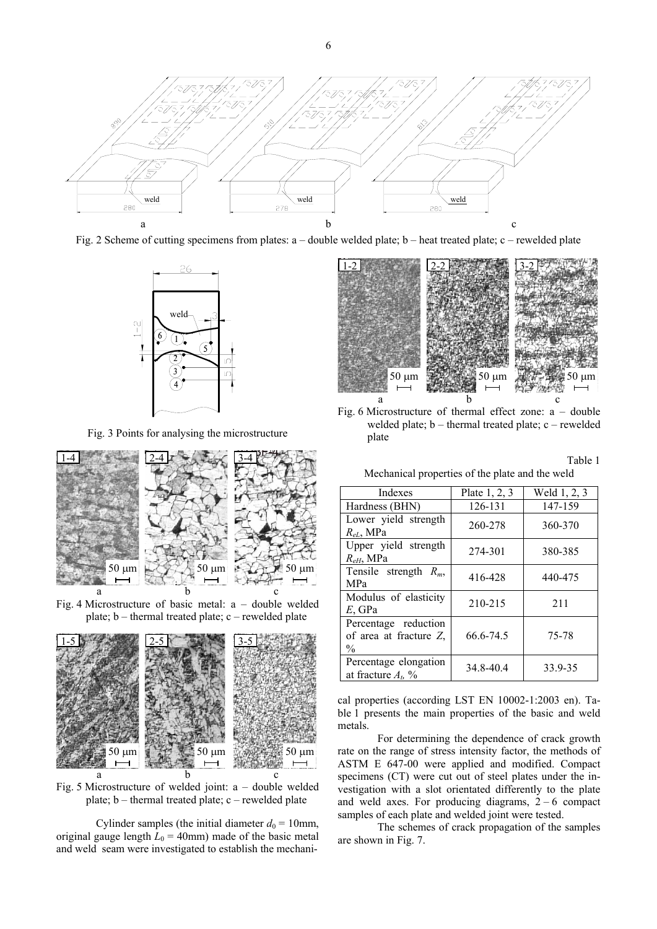

Fig. 2 Scheme of cutting specimens from plates: a – double welded plate; b – heat treated plate; c – rewelded plate



Fig. 3 Points for analysing the microstructure



Fig. 4 Microstructure of basic metal:  $a -$  double welded plate; b – thermal treated plate; c – rewelded plate



Fig. 5 Microstructure of welded joint: a – double welded plate; b – thermal treated plate; c – rewelded plate

Cylinder samples (the initial diameter  $d_0 = 10$ mm, original gauge length  $L_0 = 40$ mm) made of the basic metal and weld seam were investigated to establish the mechani-



Fig. 6 Microstructure of thermal effect zone:  $a -$  double welded plate; b – thermal treated plate; c – rewelded plate

Table 1

| Mechanical properties of the plate and the weld |  |  |  |  |  |
|-------------------------------------------------|--|--|--|--|--|
|-------------------------------------------------|--|--|--|--|--|

| Indexes                                                         | Plate $1, 2, 3$ | Weld 1, 2, 3 |  |
|-----------------------------------------------------------------|-----------------|--------------|--|
| Hardness (BHN)                                                  | 126-131         | 147-159      |  |
| Lower yield strength<br>$R_{eL}$ , MPa                          | 260-278         | 360-370      |  |
| Upper yield strength<br>$R_{eH}$ , MPa                          | 274-301         | 380-385      |  |
| Tensile strength $R_m$ ,<br><b>MPa</b>                          | 416-428         | 440-475      |  |
| Modulus of elasticity<br>$E$ , GPa                              | 210-215         | 211          |  |
| Percentage reduction<br>of area at fracture Z,<br>$\frac{0}{0}$ | 66.6-74.5       | 75-78        |  |
| Percentage elongation<br>at fracture $At$ , %                   | 34.8-40.4       | 33.9-35      |  |

cal properties (according LST EN 10002-1:2003 en). Table 1 presents the main properties of the basic and weld metals.

For determining the dependence of crack growth rate on the range of stress intensity factor, the methods of ASTM E 647-00 were applied and modified. Compact specimens (CT) were cut out of steel plates under the investigation with a slot orientated differently to the plate and weld axes. For producing diagrams,  $2 - 6$  compact samples of each plate and welded joint were tested.

The schemes of crack propagation of the samples are shown in Fig. 7.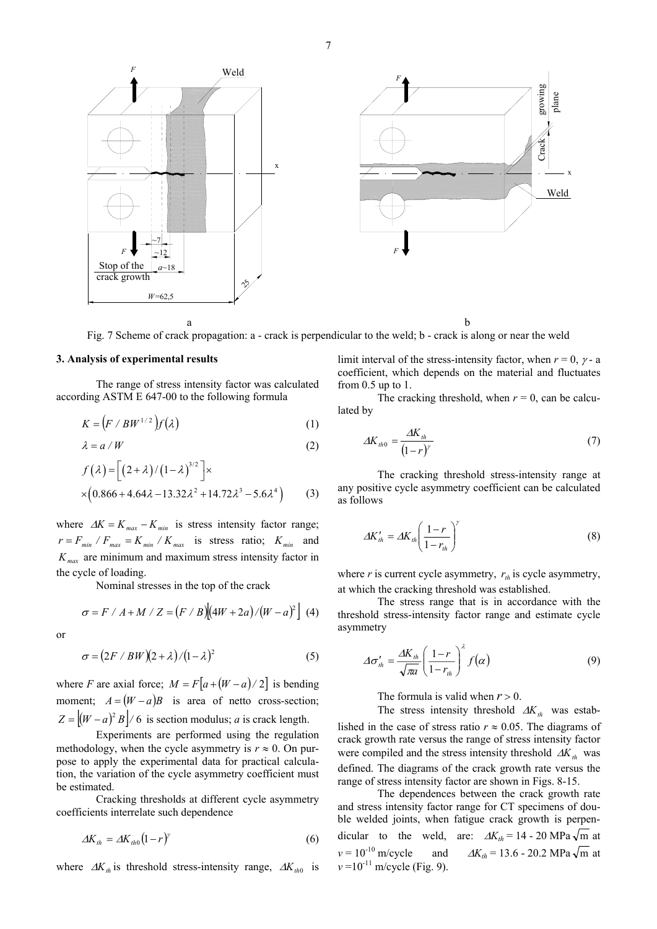Fig. 7 Scheme of crack propagation: a - crack is perpendicular to the weld; b - crack is along or near the weld

# **3. Analysis of experimental results**

The range of stress intensity factor was calculated according ASTM E 647-00 to the following formula

$$
K = (F \mid BW^{1/2})f(\lambda) \tag{1}
$$

$$
\lambda = a / W \tag{2}
$$

$$
f(\lambda) = \left[ (2 + \lambda) / (1 - \lambda)^{3/2} \right] \times
$$
  
×(0.866 + 4.64 $\lambda$  - 13.32 $\lambda^2$  + 14.72 $\lambda^3$  - 5.6 $\lambda^4$ ) (3)

where  $\Delta K = K_{max} - K_{min}$  is stress intensity factor range;  $r = F_{min} / F_{max} = K_{min} / K_{max}$  is stress ratio;  $K_{min}$  and  $K_{\textit{max}}$  are minimum and maximum stress intensity factor in the cycle of loading.

Nominal stresses in the top of the crack

$$
\sigma = F / A + M / Z = (F / B) [(4W + 2a) / (W - a)^{2}] (4)
$$

or

$$
\sigma = (2F \cdot BW)(2+\lambda)/(1-\lambda)^2 \tag{5}
$$

where *F* are axial force;  $M = F[a+(W-a)/2]$  is bending moment;  $A = (W - a)B$  is area of netto cross-section;  $Z = |(W - a)^2 B|/6$  is section modulus; *a* is crack length.

Experiments are performed using the regulation methodology, when the cycle asymmetry is  $r \approx 0$ . On purpose to apply the experimental data for practical calculation, the variation of the cycle asymmetry coefficient must be estimated.

Cracking thresholds at different cycle asymmetry coefficients interrelate such dependence

$$
\Delta K_{th} = \Delta K_{th0} (1 - r)^{\gamma} \tag{6}
$$

where  $\Delta K_{th}$  is threshold stress-intensity range,  $\Delta K_{th0}$  is

limit interval of the stress-intensity factor, when  $r = 0$ ,  $\gamma$ - a coefficient, which depends on the material and fluctuates from  $0.5$  up to  $1$ .

The cracking threshold, when  $r = 0$ , can be calculated by

$$
\Delta K_{th0} = \frac{\Delta K_{th}}{(1-r)^{\gamma}}
$$
\n(7)

The cracking threshold stress-intensity range at any positive cycle asymmetry coefficient can be calculated as follows

$$
\Delta K'_{th} = \Delta K_{th} \left( \frac{1 - r}{1 - r_{th}} \right)^{\gamma} \tag{8}
$$

where *r* is current cycle asymmetry,  $r_{th}$  is cycle asymmetry, at which the cracking threshold was established.

The stress range that is in accordance with the threshold stress-intensity factor range and estimate cycle asymmetry

$$
\Delta \sigma'_{th} = \frac{\Delta K_{th}}{\sqrt{\pi a}} \left( \frac{1 - r}{1 - r_{th}} \right)^{\lambda} f(\alpha)
$$
 (9)

The formula is valid when  $r > 0$ .

The stress intensity threshold  $\Delta K_{th}$  was established in the case of stress ratio  $r \approx 0.05$ . The diagrams of crack growth rate versus the range of stress intensity factor were compiled and the stress intensity threshold  $\Delta K_{th}$  was defined. The diagrams of the crack growth rate versus the range of stress intensity factor are shown in Figs. 8-15.

The dependences between the crack growth rate and stress intensity factor range for CT specimens of double welded joints, when fatigue crack growth is perpendicular to the weld, are:  $\Delta K_{th} = 14 - 20 \text{ MPa } \sqrt{\text{m}}$  at  $v = 10^{-10}$  m/cycle and  $\Delta K_{th} = 13.6 - 20.2$  MPa  $\sqrt{m}$  at  $v = 10^{-11}$  m/cycle (Fig. 9).



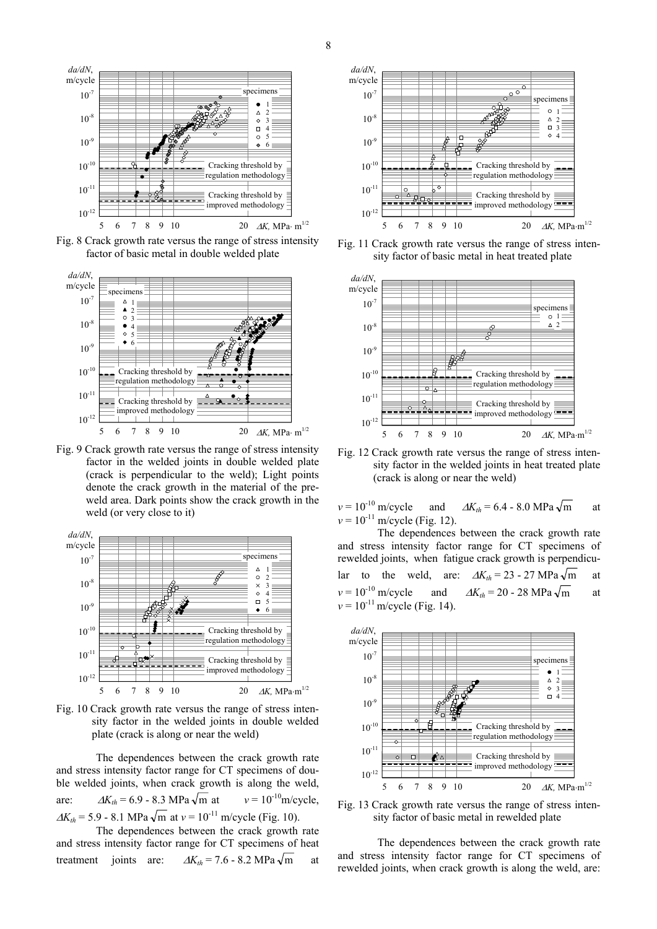

Fig. 8 Crack growth rate versus the range of stress intensity factor of basic metal in double welded plate



Fig. 9 Crack growth rate versus the range of stress intensity factor in the welded joints in double welded plate (crack is perpendicular to the weld); Light points denote the crack growth in the material of the preweld area. Dark points show the crack growth in the weld (or very close to it)



Fig. 10 Crack growth rate versus the range of stress intensity factor in the welded joints in double welded plate (crack is along or near the weld)

The dependences between the crack growth rate and stress intensity factor range for CT specimens of double welded joints, when crack growth is along the weld, are:  $\Delta K_{th} = 6.9 - 8.3 \text{ MPa } \sqrt{\text{m}} \text{ at } v = 10^{-10} \text{m/cycle},$  $\Delta K_{th} = 5.9 - 8.1 \text{ MPa } \sqrt{\text{m}} \text{ at } v = 10^{-11} \text{ m/cycle (Fig. 10)}.$ 

The dependences between the crack growth rate and stress intensity factor range for CT specimens of heat treatment joints are:  $\Delta K_{th} = 7.6 - 8.2 \text{ MPa } \sqrt{\text{m}}$  at



Fig. 11 Crack growth rate versus the range of stress intensity factor of basic metal in heat treated plate



Fig. 12 Crack growth rate versus the range of stress intensity factor in the welded joints in heat treated plate (crack is along or near the weld)

 $v = 10^{-10}$  m/cycle and  $\Delta K_{th} = 6.4 - 8.0$  MPa  $\sqrt{m}$  at  $v = 10^{-11}$  m/cycle (Fig. 12).

The dependences between the crack growth rate and stress intensity factor range for CT specimens of rewelded joints, when fatigue crack growth is perpendicular to the weld, are:  $\Delta K_{th} = 23 - 27 \text{ MPa } \sqrt{\text{m}}$  at  $v = 10^{-10}$  m/cycle and  $\Delta K_{th} = 20 - 28$  MPa  $\sqrt{m}$  at  $v = 10^{-11}$  m/cycle (Fig. 14).



Fig. 13 Crack growth rate versus the range of stress intensity factor of basic metal in rewelded plate

The dependences between the crack growth rate and stress intensity factor range for CT specimens of rewelded joints, when crack growth is along the weld, are: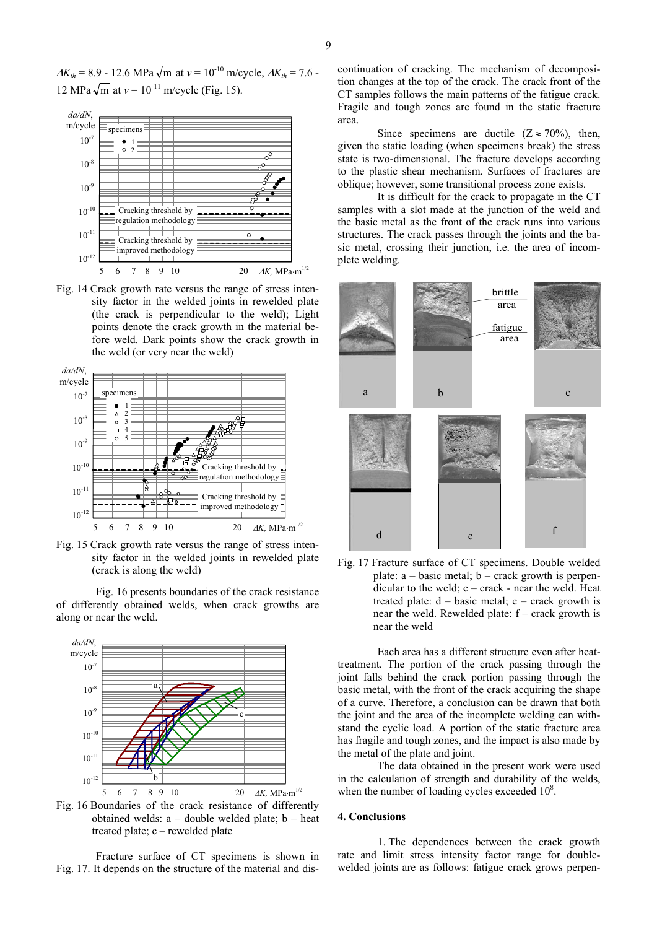$\Delta K_{th} = 8.9 - 12.6 \text{ MPa } \sqrt{\text{m}}$  at  $v = 10^{-10} \text{ m/cycle}, \Delta K_{th} = 7.6 - 10^{-10} \text{ m/cycle}$ 12 MPa  $\sqrt{m}$  at  $v = 10^{-11}$  m/cycle (Fig. 15).



Fig. 14 Crack growth rate versus the range of stress intensity factor in the welded joints in rewelded plate (the crack is perpendicular to the weld); Light points denote the crack growth in the material before weld. Dark points show the crack growth in the weld (or very near the weld)



Fig. 15 Crack growth rate versus the range of stress intensity factor in the welded joints in rewelded plate (crack is along the weld)

Fig. 16 presents boundaries of the crack resistance of differently obtained welds, when crack growths are along or near the weld.



Fig. 16 Boundaries of the crack resistance of differently obtained welds:  $a -$  double welded plate;  $b -$  heat treated plate; c – rewelded plate

Fracture surface of CT specimens is shown in Fig. 17. It depends on the structure of the material and discontinuation of cracking. The mechanism of decomposition changes at the top of the crack. The crack front of the CT samples follows the main patterns of the fatigue crack. Fragile and tough zones are found in the static fracture area.

Since specimens are ductile  $(Z \approx 70\%)$ , then, given the static loading (when specimens break) the stress state is two-dimensional. The fracture develops according to the plastic shear mechanism. Surfaces of fractures are oblique; however, some transitional process zone exists.

It is difficult for the crack to propagate in the CT samples with a slot made at the junction of the weld and the basic metal as the front of the crack runs into various structures. The crack passes through the joints and the basic metal, crossing their junction, i.e. the area of incomplete welding.



Fig. 17 Fracture surface of CT specimens. Double welded plate:  $a - basic metal$ ;  $b - crack$  growth is perpendicular to the weld; c – crack - near the weld. Heat treated plate:  $d - basic metal$ ;  $e - crack$  growth is near the weld. Rewelded plate: f – crack growth is near the weld

Each area has a different structure even after heattreatment. The portion of the crack passing through the joint falls behind the crack portion passing through the basic metal, with the front of the crack acquiring the shape of a curve. Therefore, a conclusion can be drawn that both the joint and the area of the incomplete welding can withstand the cyclic load. A portion of the static fracture area has fragile and tough zones, and the impact is also made by the metal of the plate and joint.

The data obtained in the present work were used in the calculation of strength and durability of the welds, when the number of loading cycles exceeded  $10^8$ .

## **4. Conclusions**

1. The dependences between the crack growth rate and limit stress intensity factor range for doublewelded joints are as follows: fatigue crack grows perpen